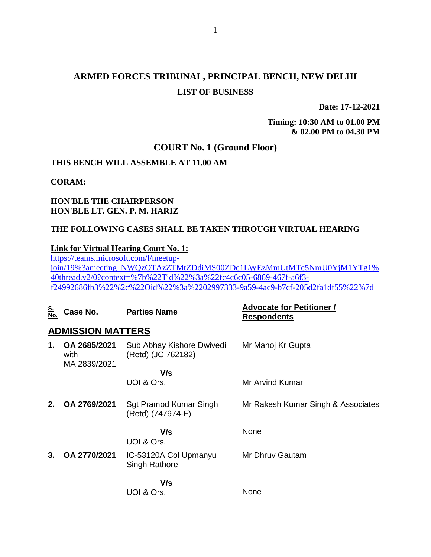## **ARMED FORCES TRIBUNAL, PRINCIPAL BENCH, NEW DELHI LIST OF BUSINESS**

**Date: 17-12-2021**

**Timing: 10:30 AM to 01.00 PM & 02.00 PM to 04.30 PM**

### **COURT No. 1 (Ground Floor)**

## **THIS BENCH WILL ASSEMBLE AT 11.00 AM**

#### **CORAM:**

### **HON'BLE THE CHAIRPERSON HON'BLE LT. GEN. P. M. HARIZ**

## **THE FOLLOWING CASES SHALL BE TAKEN THROUGH VIRTUAL HEARING**

#### **Link for Virtual Hearing Court No. 1:**

[https://teams.microsoft.com/l/meetup](https://teams.microsoft.com/l/meetup-join/19%3ameeting_NWQzOTAzZTMtZDdiMS00ZDc1LWEzMmUtMTc5NmU0YjM1YTg1%40thread.v2/0?context=%7b%22Tid%22%3a%22fc4c6c05-6869-467f-a6f3-f24992686fb3%22%2c%22Oid%22%3a%2202997333-9a59-4ac9-b7cf-205d2fa1df55%22%7d)[join/19%3ameeting\\_NWQzOTAzZTMtZDdiMS00ZDc1LWEzMmUtMTc5NmU0YjM1YTg1%](https://teams.microsoft.com/l/meetup-join/19%3ameeting_NWQzOTAzZTMtZDdiMS00ZDc1LWEzMmUtMTc5NmU0YjM1YTg1%40thread.v2/0?context=%7b%22Tid%22%3a%22fc4c6c05-6869-467f-a6f3-f24992686fb3%22%2c%22Oid%22%3a%2202997333-9a59-4ac9-b7cf-205d2fa1df55%22%7d) [40thread.v2/0?context=%7b%22Tid%22%3a%22fc4c6c05-6869-467f-a6f3](https://teams.microsoft.com/l/meetup-join/19%3ameeting_NWQzOTAzZTMtZDdiMS00ZDc1LWEzMmUtMTc5NmU0YjM1YTg1%40thread.v2/0?context=%7b%22Tid%22%3a%22fc4c6c05-6869-467f-a6f3-f24992686fb3%22%2c%22Oid%22%3a%2202997333-9a59-4ac9-b7cf-205d2fa1df55%22%7d) [f24992686fb3%22%2c%22Oid%22%3a%2202997333-9a59-4ac9-b7cf-205d2fa1df55%22%7d](https://teams.microsoft.com/l/meetup-join/19%3ameeting_NWQzOTAzZTMtZDdiMS00ZDc1LWEzMmUtMTc5NmU0YjM1YTg1%40thread.v2/0?context=%7b%22Tid%22%3a%22fc4c6c05-6869-467f-a6f3-f24992686fb3%22%2c%22Oid%22%3a%2202997333-9a59-4ac9-b7cf-205d2fa1df55%22%7d)

| <u>S.</u><br>No. | Case No.                             | <b>Parties Name</b>                             | <b>Advocate for Petitioner /</b><br><b>Respondents</b> |
|------------------|--------------------------------------|-------------------------------------------------|--------------------------------------------------------|
|                  | <b>ADMISSION MATTERS</b>             |                                                 |                                                        |
| 1.               | OA 2685/2021<br>with<br>MA 2839/2021 | Sub Abhay Kishore Dwivedi<br>(Retd) (JC 762182) | Mr Manoj Kr Gupta                                      |
|                  |                                      | V/s                                             |                                                        |
|                  |                                      | UOI & Ors.                                      | <b>Mr Arvind Kumar</b>                                 |
| 2.               | OA 2769/2021                         | Sgt Pramod Kumar Singh<br>(Retd) (747974-F)     | Mr Rakesh Kumar Singh & Associates                     |
|                  |                                      | V/s<br>UOI & Ors.                               | None                                                   |
| 3.               | OA 2770/2021                         | IC-53120A Col Upmanyu<br>Singh Rathore          | Mr Dhruv Gautam                                        |
|                  |                                      | V/s<br>UOI & Ors.                               | None                                                   |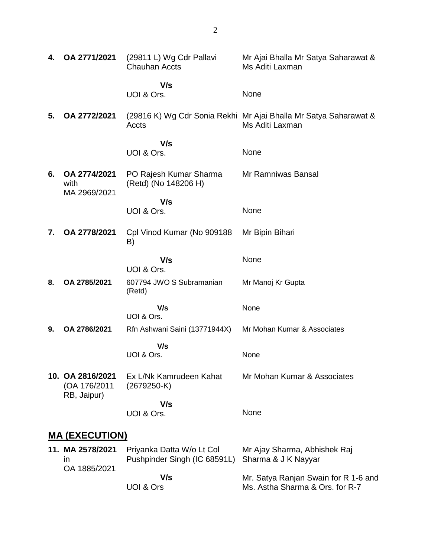| 4.                    | OA 2771/2021                                    | (29811 L) Wg Cdr Pallavi<br><b>Chauhan Accts</b> | Mr Ajai Bhalla Mr Satya Saharawat &<br>Ms Aditi Laxman                              |
|-----------------------|-------------------------------------------------|--------------------------------------------------|-------------------------------------------------------------------------------------|
|                       |                                                 | V/s<br>UOI & Ors.                                | None                                                                                |
| 5.                    | OA 2772/2021                                    | Accts                                            | (29816 K) Wg Cdr Sonia Rekhi Mr Ajai Bhalla Mr Satya Saharawat &<br>Ms Aditi Laxman |
|                       |                                                 | V/s                                              | None                                                                                |
|                       |                                                 | UOI & Ors.                                       |                                                                                     |
| 6.                    | OA 2774/2021<br>with<br>MA 2969/2021            | PO Rajesh Kumar Sharma<br>(Retd) (No 148206 H)   | Mr Ramniwas Bansal                                                                  |
|                       |                                                 | V/s                                              |                                                                                     |
|                       |                                                 | UOI & Ors.                                       | None                                                                                |
| 7.                    | OA 2778/2021                                    | Cpl Vinod Kumar (No 909188<br>B)                 | Mr Bipin Bihari                                                                     |
|                       |                                                 | V/s<br>UOI & Ors.                                | None                                                                                |
| 8.                    | OA 2785/2021                                    | 607794 JWO S Subramanian<br>(Retd)               | Mr Manoj Kr Gupta                                                                   |
|                       |                                                 | V/s<br>UOI & Ors.                                | None                                                                                |
| 9.                    | OA 2786/2021                                    | Rfn Ashwani Saini (13771944X)                    | Mr Mohan Kumar & Associates                                                         |
|                       |                                                 | V/s                                              |                                                                                     |
|                       |                                                 | UOI & Ors.                                       | None                                                                                |
|                       | 10. OA 2816/2021<br>(OA 176/2011<br>RB, Jaipur) | Ex L/Nk Kamrudeen Kahat<br>$(2679250-K)$         | Mr Mohan Kumar & Associates                                                         |
|                       |                                                 | V/s                                              |                                                                                     |
|                       |                                                 | UOI & Ors.                                       | None                                                                                |
| <b>MA (EXECUTION)</b> |                                                 |                                                  |                                                                                     |

| 11. MA 2578/2021 | Priyanka Datta W/o Lt Col                        | Mr Ajay Sharma, Abhishek Raj         |
|------------------|--------------------------------------------------|--------------------------------------|
| ın               | Pushpinder Singh (IC 68591L) Sharma & J K Nayyar |                                      |
| OA 1885/2021     |                                                  |                                      |
|                  | V/s                                              | Mr. Satya Ranjan Swain for R 1-6 and |
|                  | UOI & Ors                                        | Ms. Astha Sharma & Ors. for R-7      |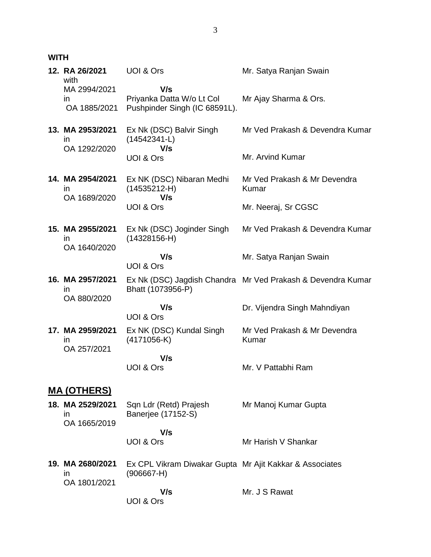| <b>WITH</b> |                                                  |                                                                         |                                                             |
|-------------|--------------------------------------------------|-------------------------------------------------------------------------|-------------------------------------------------------------|
|             | 12. RA 26/2021<br>with<br>MA 2994/2021           | <b>UOI &amp; Ors</b><br>V/s                                             | Mr. Satya Ranjan Swain                                      |
|             | ın<br>OA 1885/2021                               | Priyanka Datta W/o Lt Col<br>Pushpinder Singh (IC 68591L).              | Mr Ajay Sharma & Ors.                                       |
|             | 13. MA 2953/2021<br>in<br>OA 1292/2020           | Ex Nk (DSC) Balvir Singh<br>$(14542341-L)$<br>V/s                       | Mr Ved Prakash & Devendra Kumar                             |
|             |                                                  | UOI & Ors                                                               | Mr. Arvind Kumar                                            |
|             | 14. MA 2954/2021<br>ın<br>OA 1689/2020           | Ex NK (DSC) Nibaran Medhi<br>$(14535212-H)$<br>V/s                      | Mr Ved Prakash & Mr Devendra<br>Kumar                       |
|             |                                                  | UOI & Ors                                                               | Mr. Neeraj, Sr CGSC                                         |
|             | 15. MA 2955/2021<br>$\mathsf{I}$<br>OA 1640/2020 | Ex Nk (DSC) Joginder Singh<br>$(14328156-H)$                            | Mr Ved Prakash & Devendra Kumar                             |
|             |                                                  | V/s<br>UOI & Ors                                                        | Mr. Satya Ranjan Swain                                      |
|             | 16. MA 2957/2021<br>$\mathsf{I}$<br>OA 880/2020  | Bhatt (1073956-P)                                                       | Ex Nk (DSC) Jagdish Chandra Mr Ved Prakash & Devendra Kumar |
|             |                                                  | V/s<br>UOI & Ors                                                        | Dr. Vijendra Singh Mahndiyan                                |
|             | 17. MA 2959/2021<br>ın<br>OA 257/2021            | Ex NK (DSC) Kundal Singh<br>$(4171056-K)$                               | Mr Ved Prakash & Mr Devendra<br><b>Kumar</b>                |
|             |                                                  | V/s<br>UOI & Ors                                                        | Mr. V Pattabhi Ram                                          |
|             | <u>MA (OTHERS)</u>                               |                                                                         |                                                             |
|             | 18. MA 2529/2021<br>in<br>OA 1665/2019           | Sqn Ldr (Retd) Prajesh<br>Banerjee (17152-S)                            | Mr Manoj Kumar Gupta                                        |
|             |                                                  | V/s<br>UOI & Ors                                                        | Mr Harish V Shankar                                         |
|             | 19. MA 2680/2021<br>ın<br>OA 1801/2021           | Ex CPL Vikram Diwakar Gupta Mr Ajit Kakkar & Associates<br>$(906667-H)$ |                                                             |
|             |                                                  | V/s                                                                     | Mr. J S Rawat                                               |

UOI & Ors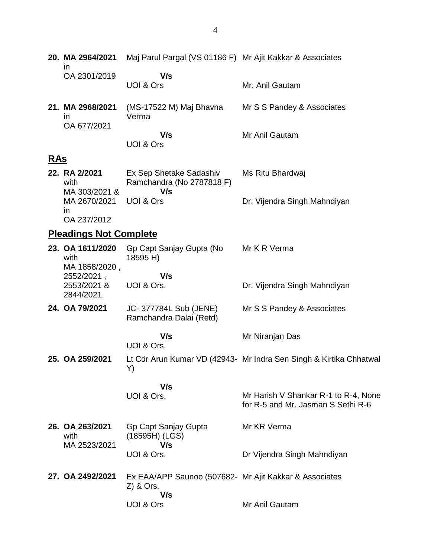|            | 20. MA 2964/2021<br>ın                    | Maj Parul Pargal (VS 01186 F) Mr Ajit Kakkar & Associates                    |                                                                            |
|------------|-------------------------------------------|------------------------------------------------------------------------------|----------------------------------------------------------------------------|
|            | OA 2301/2019                              | V/s<br>UOI & Ors                                                             | Mr. Anil Gautam                                                            |
|            | 21. MA 2968/2021<br>ın<br>OA 677/2021     | (MS-17522 M) Maj Bhavna<br>Verma                                             | Mr S S Pandey & Associates                                                 |
|            |                                           | V/s<br>UOI & Ors                                                             | Mr Anil Gautam                                                             |
| <b>RAS</b> |                                           |                                                                              |                                                                            |
|            | 22. RA 2/2021<br>with<br>MA 303/2021 &    | Ex Sep Shetake Sadashiv<br>Ramchandra (No 2787818 F)<br>V/s                  | Ms Ritu Bhardwaj                                                           |
|            | MA 2670/2021<br>ın<br>OA 237/2012         | UOI & Ors                                                                    | Dr. Vijendra Singh Mahndiyan                                               |
|            | <b>Pleadings Not Complete</b>             |                                                                              |                                                                            |
|            | 23. OA 1611/2020<br>with<br>MA 1858/2020, | Gp Capt Sanjay Gupta (No<br>18595 H)                                         | Mr K R Verma                                                               |
|            | 2552/2021,<br>2553/2021 &<br>2844/2021    | V/s<br>UOI & Ors.                                                            | Dr. Vijendra Singh Mahndiyan                                               |
|            | 24. OA 79/2021                            | JC- 377784L Sub (JENE)<br>Ramchandra Dalai (Retd)                            | Mr S S Pandey & Associates                                                 |
|            |                                           | V/s<br>UOI & Ors.                                                            | Mr Niranjan Das                                                            |
|            | 25. OA 259/2021                           | Y)                                                                           | Lt Cdr Arun Kumar VD (42943- Mr Indra Sen Singh & Kirtika Chhatwal         |
|            |                                           | V/s                                                                          |                                                                            |
|            |                                           | UOI & Ors.                                                                   | Mr Harish V Shankar R-1 to R-4, None<br>for R-5 and Mr. Jasman S Sethi R-6 |
|            | 26. OA 263/2021<br>with<br>MA 2523/2021   | Gp Capt Sanjay Gupta<br>$(18595H)$ (LGS)<br>V/s                              | Mr KR Verma                                                                |
|            |                                           | UOI & Ors.                                                                   | Dr Vijendra Singh Mahndiyan                                                |
|            | 27. OA 2492/2021                          | Ex EAA/APP Saunoo (507682 Mr Ajit Kakkar & Associates<br>$Z$ ) & Ors.<br>V/s |                                                                            |
|            |                                           | UOI & Ors                                                                    | Mr Anil Gautam                                                             |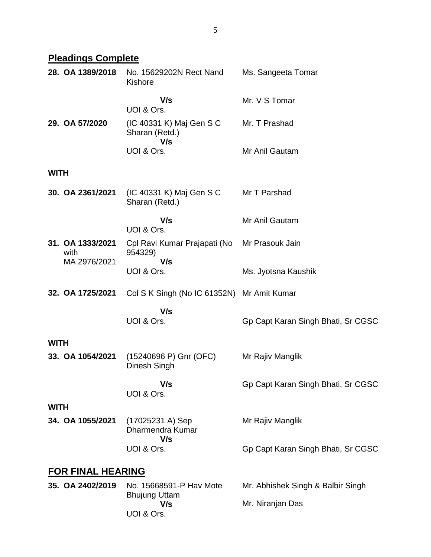# **Pleadings Complete**

|             | 28. OA 1389/2018         | No. 15629202N Rect Nand<br>Kishore                | Ms. Sangeeta Tomar                 |
|-------------|--------------------------|---------------------------------------------------|------------------------------------|
|             |                          | V/s<br>UOI & Ors.                                 | Mr. V S Tomar                      |
|             | 29. OA 57/2020           | (IC 40331 K) Maj Gen S C<br>Sharan (Retd.)<br>V/s | Mr. T Prashad                      |
|             |                          | UOI & Ors.                                        | Mr Anil Gautam                     |
| <b>WITH</b> |                          |                                                   |                                    |
|             | 30. OA 2361/2021         | (IC 40331 K) Maj Gen S C<br>Sharan (Retd.)        | Mr T Parshad                       |
|             |                          | V/s<br>UOI & Ors.                                 | Mr Anil Gautam                     |
|             | 31. OA 1333/2021<br>with | Cpl Ravi Kumar Prajapati (No<br>954329)<br>V/s    | Mr Prasouk Jain                    |
|             | MA 2976/2021             | UOI & Ors.                                        | Ms. Jyotsna Kaushik                |
|             | 32. OA 1725/2021         | Col S K Singh (No IC 61352N) Mr Amit Kumar        |                                    |
|             |                          | V/s<br>UOI & Ors.                                 | Gp Capt Karan Singh Bhati, Sr CGSC |
| <b>WITH</b> |                          |                                                   |                                    |
|             | 33. OA 1054/2021         | (15240696 P) Gnr (OFC)<br>Dinesh Singh            | Mr Rajiv Manglik                   |
|             |                          | V/s<br>UOI & Ors.                                 | Gp Capt Karan Singh Bhati, Sr CGSC |
| <b>WITH</b> |                          |                                                   |                                    |
|             | 34. OA 1055/2021         | (17025231 A) Sep<br>Dharmendra Kumar<br>V/s       | Mr Rajiv Manglik                   |
|             |                          | UOI & Ors.                                        | Gp Capt Karan Singh Bhati, Sr CGSC |
|             | FOR FINAL HEARING        |                                                   |                                    |
|             | 35. OA 2402/2019         | No. 15668591-P Hav Mote<br><b>Bhujung Uttam</b>   | Mr. Abhishek Singh & Balbir Singh  |
|             |                          | V/s<br>UOI & Ors.                                 | Mr. Niranjan Das                   |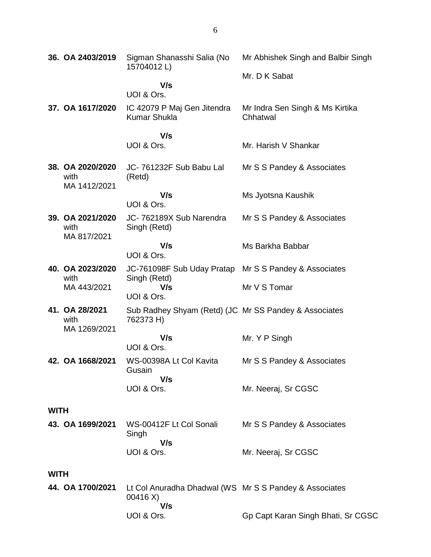|             | 36. OA 2403/2019                         | Sigman Shanasshi Salia (No<br>15704012L)                                  | Mr Abhishek Singh and Balbir Singh          |
|-------------|------------------------------------------|---------------------------------------------------------------------------|---------------------------------------------|
|             |                                          | V/s                                                                       | Mr. D K Sabat                               |
|             |                                          | UOI & Ors.                                                                |                                             |
|             | 37. OA 1617/2020                         | IC 42079 P Maj Gen Jitendra<br><b>Kumar Shukla</b>                        | Mr Indra Sen Singh & Ms Kirtika<br>Chhatwal |
|             |                                          | V/s<br>UOI & Ors.                                                         | Mr. Harish V Shankar                        |
|             | 38. OA 2020/2020<br>with<br>MA 1412/2021 | JC-761232F Sub Babu Lal<br>(Retd)                                         | Mr S S Pandey & Associates                  |
|             |                                          | V/s<br>UOI & Ors.                                                         | Ms Jyotsna Kaushik                          |
|             | 39. OA 2021/2020<br>with<br>MA 817/2021  | JC-762189X Sub Narendra<br>Singh (Retd)                                   | Mr S S Pandey & Associates                  |
|             |                                          | V/s<br>UOI & Ors.                                                         | Ms Barkha Babbar                            |
|             | 40. OA 2023/2020<br>with                 | JC-761098F Sub Uday Pratap Mr S S Pandey & Associates                     |                                             |
|             | MA 443/2021                              | Singh (Retd)<br>V/s<br>UOI & Ors.                                         | Mr V S Tomar                                |
|             | 41. OA 28/2021<br>with<br>MA 1269/2021   | Sub Radhey Shyam (Retd) (JC Mr SS Pandey & Associates<br>762373 H)        |                                             |
|             |                                          | V/s<br>UOI & Ors.                                                         | Mr. Y P Singh                               |
|             | 42. OA 1668/2021                         | WS-00398A Lt Col Kavita<br>Gusain                                         | Mr S S Pandey & Associates                  |
|             |                                          | V/s<br>UOI & Ors.                                                         | Mr. Neeraj, Sr CGSC                         |
| <b>WITH</b> |                                          |                                                                           |                                             |
|             | 43. OA 1699/2021                         | WS-00412F Lt Col Sonali<br>Singh<br>V/s                                   | Mr S S Pandey & Associates                  |
|             |                                          | UOI & Ors.                                                                | Mr. Neeraj, Sr CGSC                         |
| <b>WITH</b> |                                          |                                                                           |                                             |
|             | 44. OA 1700/2021                         | Lt Col Anuradha Dhadwal (WS Mr S S Pandey & Associates<br>00416 X)<br>V/s |                                             |
|             |                                          | UOI & Ors.                                                                | Gp Capt Karan Singh Bhati, Sr CGSC          |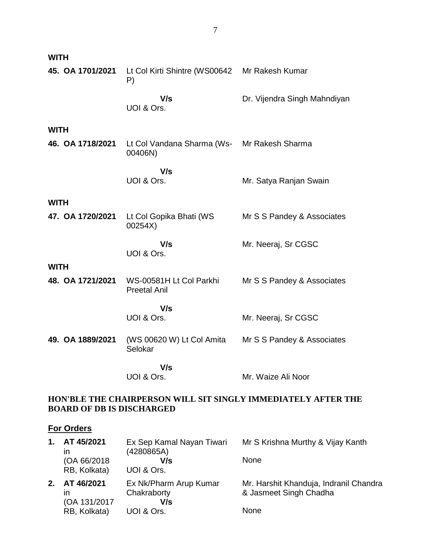| <b>WITH</b>      |                                                        |                              |
|------------------|--------------------------------------------------------|------------------------------|
| 45. OA 1701/2021 | Lt Col Kirti Shintre (WS00642 Mr Rakesh Kumar<br>P)    |                              |
|                  | V/s<br>UOI & Ors.                                      | Dr. Vijendra Singh Mahndiyan |
| <b>WITH</b>      |                                                        |                              |
| 46. OA 1718/2021 | Lt Col Vandana Sharma (Ws- Mr Rakesh Sharma<br>00406N) |                              |
|                  | V/s<br>UOI & Ors.                                      | Mr. Satya Ranjan Swain       |
| <b>WITH</b>      |                                                        |                              |
| 47. OA 1720/2021 | Lt Col Gopika Bhati (WS<br>00254X)                     | Mr S S Pandey & Associates   |
|                  | V/s<br>UOI & Ors.                                      | Mr. Neeraj, Sr CGSC          |
| <b>WITH</b>      |                                                        |                              |
| 48. OA 1721/2021 | WS-00581H Lt Col Parkhi<br><b>Preetal Anil</b>         | Mr S S Pandey & Associates   |
|                  | V/s                                                    |                              |
|                  | UOI & Ors.                                             | Mr. Neeraj, Sr CGSC          |
| 49. OA 1889/2021 | (WS 00620 W) Lt Col Amita<br>Selokar                   | Mr S S Pandey & Associates   |
|                  | V/s                                                    |                              |
|                  | UOI & Ors.                                             | Mr. Waize Ali Noor           |

## **HON'BLE THE CHAIRPERSON WILL SIT SINGLY IMMEDIATELY AFTER THE BOARD OF DB IS DISCHARGED**

## **For Orders**

| 1. | AT 45/2021<br>ın<br>(OA 66/2018)<br>RB, Kolkata) | Ex Sep Kamal Nayan Tiwari<br>(4280865A)<br>V/s<br>UOI & Ors. | Mr S Krishna Murthy & Vijay Kanth<br><b>None</b>                         |
|----|--------------------------------------------------|--------------------------------------------------------------|--------------------------------------------------------------------------|
| 2. | AT 46/2021<br>ın<br>(OA 131/2017<br>RB, Kolkata) | Ex Nk/Pharm Arup Kumar<br>Chakraborty<br>V/s<br>UOI & Ors.   | Mr. Harshit Khanduja, Indranil Chandra<br>& Jasmeet Singh Chadha<br>None |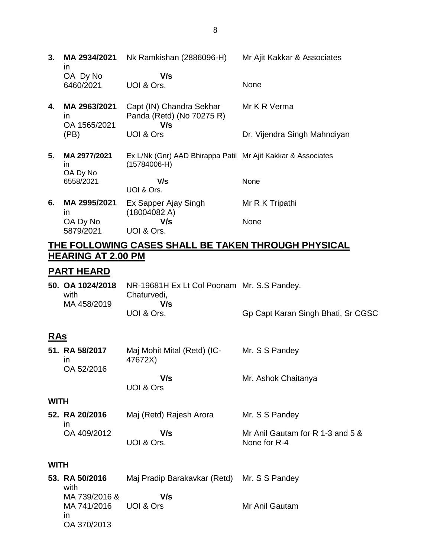| 3. | MA 2934/2021<br><i>in</i>                 | Nk Ramkishan (2886096-H)                                                       | Mr Ajit Kakkar & Associates  |
|----|-------------------------------------------|--------------------------------------------------------------------------------|------------------------------|
|    | OA Dy No<br>6460/2021                     | V/s<br>UOI & Ors.                                                              | None                         |
| 4. | MA 2963/2021<br><i>in</i><br>OA 1565/2021 | Capt (IN) Chandra Sekhar<br>Panda (Retd) (No 70275 R)<br>V/s                   | Mr K R Verma                 |
|    | (PB)                                      | UOI & Ors                                                                      | Dr. Vijendra Singh Mahndiyan |
| 5. | MA 2977/2021<br>in.<br>OA Dy No           | Ex L/Nk (Gnr) AAD Bhirappa Patil Mr Ajit Kakkar & Associates<br>$(15784006-H)$ |                              |
|    | 6558/2021                                 | V/s<br>UOI & Ors.                                                              | None                         |
| 6. | MA 2995/2021<br>$\mathsf{I}$              | Ex Sapper Ajay Singh<br>(18004082 A)                                           | Mr R K Tripathi              |
|    | OA Dy No<br>5879/2021                     | V/s<br>UOI & Ors.                                                              | None                         |

## **THE FOLLOWING CASES SHALL BE TAKEN THROUGH PHYSICAL HEARING AT 2.00 PM**

## **PART HEARD**

|             | 50. OA 1024/2018    NR-19681H Ex Lt Col Poonam Mr. S.S Pandey. |                                    |
|-------------|----------------------------------------------------------------|------------------------------------|
| with        | Chaturvedi,                                                    |                                    |
| MA 458/2019 | V/s                                                            |                                    |
|             | UOI & Ors.                                                     | Gp Capt Karan Singh Bhati, Sr CGSC |

## **RAs**

| 51. RA 58/2017<br>ın | Maj Mohit Mital (Retd) (IC-<br>47672X) | Mr. S S Pandey                                   |
|----------------------|----------------------------------------|--------------------------------------------------|
| OA 52/2016           |                                        |                                                  |
|                      | V/s<br>UOI & Ors                       | Mr. Ashok Chaitanya                              |
| <b>WITH</b>          |                                        |                                                  |
| 52. RA 20/2016<br>ın | Maj (Retd) Rajesh Arora                | Mr. S S Pandey                                   |
| OA 409/2012          | V/s<br>UOI & Ors.                      | Mr Anil Gautam for R 1-3 and 5 &<br>None for R-4 |

## **WITH**

| 53. RA 50/2016<br>with                 | Maj Pradip Barakavkar (Retd) Mr. S S Pandey |                |
|----------------------------------------|---------------------------------------------|----------------|
| MA 739/2016 &<br>MA 741/2016 UOI & Ors | V/s                                         | Mr Anil Gautam |
| ın<br>OA 370/2013                      |                                             |                |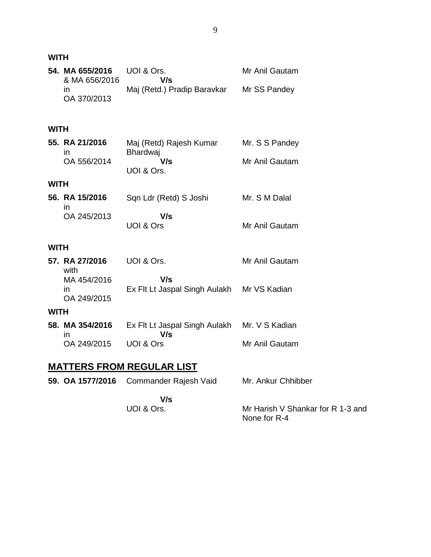**WITH**

|             | 54. MA 655/2016<br>& MA 656/2016 | UOI & Ors.<br>V/s                          | Mr Anil Gautam     |
|-------------|----------------------------------|--------------------------------------------|--------------------|
|             | in<br>OA 370/2013                | Maj (Retd.) Pradip Baravkar                | Mr SS Pandey       |
| <b>WITH</b> |                                  |                                            |                    |
|             | 55. RA 21/2016<br>in             | Maj (Retd) Rajesh Kumar<br><b>Bhardwaj</b> | Mr. S S Pandey     |
|             | OA 556/2014                      | V/s<br>UOI & Ors.                          | Mr Anil Gautam     |
| <b>WITH</b> |                                  |                                            |                    |
|             | 56. RA 15/2016<br>in             | Sqn Ldr (Retd) S Joshi                     | Mr. S M Dalal      |
|             | OA 245/2013                      | V/s<br><b>UOI &amp; Ors</b>                | Mr Anil Gautam     |
| <b>WITH</b> |                                  |                                            |                    |
|             | 57. RA 27/2016<br>with           | UOI & Ors.                                 | Mr Anil Gautam     |
|             | MA 454/2016<br>ın<br>OA 249/2015 | V/s<br>Ex Flt Lt Jaspal Singh Aulakh       | Mr VS Kadian       |
| <b>WITH</b> |                                  |                                            |                    |
|             | 58. MA 354/2016<br>in            | Ex Flt Lt Jaspal Singh Aulakh<br>V/s       | Mr. V S Kadian     |
|             | OA 249/2015                      | <b>UOI &amp; Ors</b>                       | Mr Anil Gautam     |
|             |                                  | <b>MATTERS FROM REGULAR LIST</b>           |                    |
|             | 59. OA 1577/2016                 | Commander Rajesh Vaid                      | Mr. Ankur Chhibber |
|             |                                  |                                            |                    |

 **V/s** UOI & Ors.

Mr Harish V Shankar for R 1-3 and None for R-4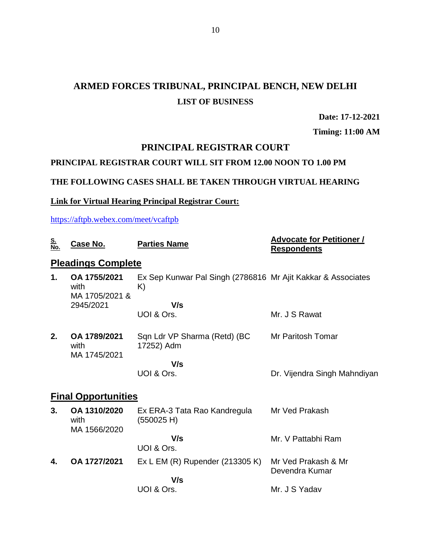## **ARMED FORCES TRIBUNAL, PRINCIPAL BENCH, NEW DELHI LIST OF BUSINESS**

**Date: 17-12-2021**

**Timing: 11:00 AM**

## **PRINCIPAL REGISTRAR COURT**

### **PRINCIPAL REGISTRAR COURT WILL SIT FROM 12.00 NOON TO 1.00 PM**

## **THE FOLLOWING CASES SHALL BE TAKEN THROUGH VIRTUAL HEARING**

## **Link for Virtual Hearing Principal Registrar Court:**

<https://aftpb.webex.com/meet/vcaftpb>

| <u>S.</u><br>No. | Case No.                               | <b>Parties Name</b>                                                | <b>Advocate for Petitioner /</b><br><b>Respondents</b> |
|------------------|----------------------------------------|--------------------------------------------------------------------|--------------------------------------------------------|
|                  | <b>Pleadings Complete</b>              |                                                                    |                                                        |
| 1.               | OA 1755/2021<br>with<br>MA 1705/2021 & | Ex Sep Kunwar Pal Singh (2786816 Mr Ajit Kakkar & Associates<br>K) |                                                        |
|                  | 2945/2021                              | V/s                                                                |                                                        |
|                  |                                        | UOI & Ors.                                                         | Mr. J S Rawat                                          |
| 2.               | OA 1789/2021<br>with<br>MA 1745/2021   | Sqn Ldr VP Sharma (Retd) (BC<br>17252) Adm                         | Mr Paritosh Tomar                                      |
|                  |                                        | V/s                                                                |                                                        |
|                  |                                        | UOI & Ors.                                                         | Dr. Vijendra Singh Mahndiyan                           |
|                  | <b>Final Opportunities</b>             |                                                                    |                                                        |
| 3.               | OA 1310/2020<br>with<br>MA 1566/2020   | Ex ERA-3 Tata Rao Kandregula<br>(550025 H)                         | Mr Ved Prakash                                         |
|                  |                                        | V/s<br>UOI & Ors.                                                  | Mr. V Pattabhi Ram                                     |
| 4.               | OA 1727/2021                           | Ex L EM (R) Rupender (213305 K)                                    | Mr Ved Prakash & Mr<br>Devendra Kumar                  |
|                  |                                        | V/s                                                                |                                                        |
|                  |                                        | UOI & Ors.                                                         | Mr. J S Yadav                                          |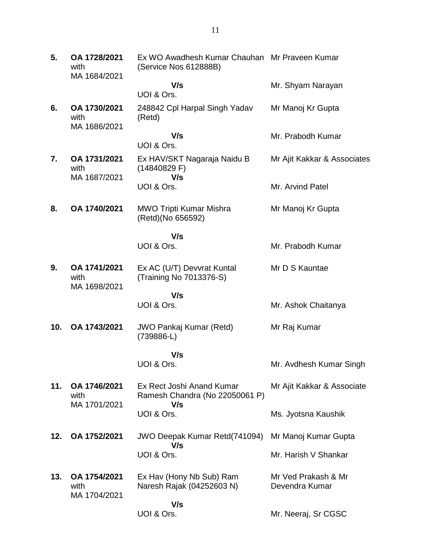| 5.  | OA 1728/2021<br>with<br>MA 1684/2021 | Ex WO Awadhesh Kumar Chauhan Mr Praveen Kumar<br>(Service Nos 612888B) |                                       |
|-----|--------------------------------------|------------------------------------------------------------------------|---------------------------------------|
|     |                                      | V/s<br>UOI & Ors.                                                      | Mr. Shyam Narayan                     |
| 6.  | OA 1730/2021<br>with                 | 248842 Cpl Harpal Singh Yadav<br>(Retd)                                | Mr Manoj Kr Gupta                     |
|     | MA 1686/2021                         | V/s                                                                    | Mr. Prabodh Kumar                     |
|     |                                      | UOI & Ors.                                                             |                                       |
| 7.  | OA 1731/2021<br>with<br>MA 1687/2021 | Ex HAV/SKT Nagaraja Naidu B<br>(14840829 F)<br>V/s                     | Mr Ajit Kakkar & Associates           |
|     |                                      | UOI & Ors.                                                             | Mr. Arvind Patel                      |
| 8.  | OA 1740/2021                         | <b>MWO Tripti Kumar Mishra</b><br>(Retd)(No 656592)                    | Mr Manoj Kr Gupta                     |
|     |                                      | V/s                                                                    |                                       |
|     |                                      | UOI & Ors.                                                             | Mr. Prabodh Kumar                     |
| 9.  | OA 1741/2021<br>with                 | Ex AC (U/T) Devvrat Kuntal<br>(Training No 7013376-S)                  | Mr D S Kauntae                        |
|     | MA 1698/2021                         | V/s                                                                    |                                       |
|     |                                      | UOI & Ors.                                                             | Mr. Ashok Chaitanya                   |
| 10. | OA 1743/2021                         | <b>JWO Pankaj Kumar (Retd)</b><br>(739886-L)                           | Mr Raj Kumar                          |
|     |                                      | V/s                                                                    |                                       |
|     |                                      | UOI & Ors.                                                             | Mr. Avdhesh Kumar Singh               |
| 11. | OA 1746/2021<br>with<br>MA 1701/2021 | Ex Rect Joshi Anand Kumar<br>Ramesh Chandra (No 22050061 P)<br>V/s     | Mr Ajit Kakkar & Associate            |
|     |                                      | UOI & Ors.                                                             | Ms. Jyotsna Kaushik                   |
| 12. | OA 1752/2021                         | JWO Deepak Kumar Retd(741094)<br>V/s                                   | Mr Manoj Kumar Gupta                  |
|     |                                      | UOI & Ors.                                                             | Mr. Harish V Shankar                  |
| 13. | OA 1754/2021<br>with<br>MA 1704/2021 | Ex Hav (Hony Nb Sub) Ram<br>Naresh Rajak (04252603 N)                  | Mr Ved Prakash & Mr<br>Devendra Kumar |
|     |                                      | V/s<br>UOI & Ors.                                                      | Mr. Neeraj, Sr CGSC                   |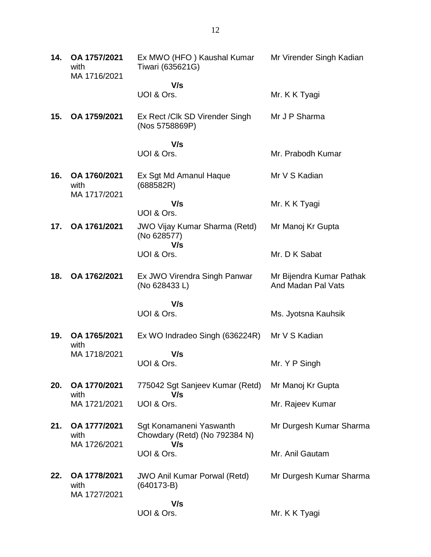| 14. | OA 1757/2021<br>with<br>MA 1716/2021 | Ex MWO (HFO) Kaushal Kumar<br>Tiwari (635621G)                  | Mr Virender Singh Kadian                       |
|-----|--------------------------------------|-----------------------------------------------------------------|------------------------------------------------|
|     |                                      | V/s<br>UOI & Ors.                                               | Mr. K K Tyagi                                  |
| 15. | OA 1759/2021                         | Ex Rect / Clk SD Virender Singh<br>(Nos 5758869P)               | Mr J P Sharma                                  |
|     |                                      | V/s<br>UOI & Ors.                                               | Mr. Prabodh Kumar                              |
| 16. | OA 1760/2021<br>with<br>MA 1717/2021 | Ex Sgt Md Amanul Haque<br>(688582R)                             | Mr V S Kadian                                  |
|     |                                      | V/s<br>UOI & Ors.                                               | Mr. K K Tyagi                                  |
| 17. | OA 1761/2021                         | <b>JWO Vijay Kumar Sharma (Retd)</b><br>(No 628577)             | Mr Manoj Kr Gupta                              |
|     |                                      | V/s<br>UOI & Ors.                                               | Mr. D K Sabat                                  |
| 18. | OA 1762/2021                         | Ex JWO Virendra Singh Panwar<br>(No 628433 L)                   | Mr Bijendra Kumar Pathak<br>And Madan Pal Vats |
|     |                                      | V/s                                                             |                                                |
|     |                                      | UOI & Ors.                                                      | Ms. Jyotsna Kauhsik                            |
| 19. | OA 1765/2021<br>with                 | Ex WO Indradeo Singh (636224R)                                  | Mr V S Kadian                                  |
|     | MA 1718/2021                         | V/s<br>UOI & Ors.                                               | Mr. Y P Singh                                  |
| 20. | OA 1770/2021<br>with<br>MA 1721/2021 | 775042 Sgt Sanjeev Kumar (Retd)                                 | Mr Manoj Kr Gupta                              |
|     |                                      | V/s<br>UOI & Ors.                                               | Mr. Rajeev Kumar                               |
| 21. | OA 1777/2021<br>with<br>MA 1726/2021 | Sgt Konamaneni Yaswanth<br>Chowdary (Retd) (No 792384 N)<br>V/s | Mr Durgesh Kumar Sharma                        |
|     |                                      | UOI & Ors.                                                      | Mr. Anil Gautam                                |
| 22. | OA 1778/2021<br>with<br>MA 1727/2021 | <b>JWO Anil Kumar Porwal (Retd)</b><br>$(640173-B)$             | Mr Durgesh Kumar Sharma                        |
|     |                                      | V/s<br>UOI & Ors.                                               | Mr. K K Tyagi                                  |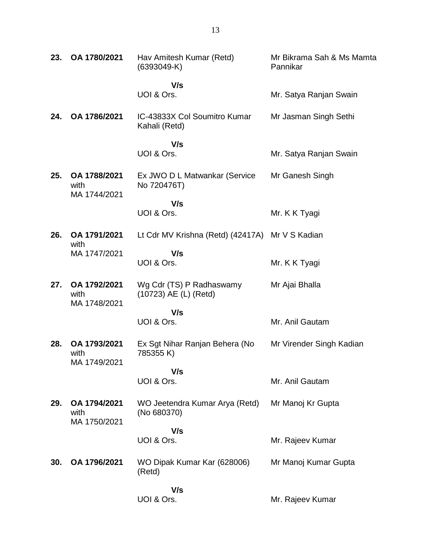| 23. | OA 1780/2021                         | Hav Amitesh Kumar (Retd)<br>$(6393049-K)$         | Mr Bikrama Sah & Ms Mamta<br>Pannikar |
|-----|--------------------------------------|---------------------------------------------------|---------------------------------------|
|     |                                      | V/s                                               |                                       |
|     |                                      | UOI & Ors.                                        | Mr. Satya Ranjan Swain                |
| 24. | OA 1786/2021                         | IC-43833X Col Soumitro Kumar<br>Kahali (Retd)     | Mr Jasman Singh Sethi                 |
|     |                                      | V/s                                               |                                       |
|     |                                      | UOI & Ors.                                        | Mr. Satya Ranjan Swain                |
| 25. | OA 1788/2021<br>with<br>MA 1744/2021 | Ex JWO D L Matwankar (Service<br>No 720476T)      | Mr Ganesh Singh                       |
|     |                                      | V/s                                               |                                       |
|     |                                      | UOI & Ors.                                        | Mr. K K Tyagi                         |
| 26. | OA 1791/2021<br>with                 | Lt Cdr MV Krishna (Retd) (42417A) Mr V S Kadian   |                                       |
|     | MA 1747/2021                         | V/s                                               |                                       |
|     |                                      | UOI & Ors.                                        | Mr. K K Tyagi                         |
| 27. | OA 1792/2021<br>with<br>MA 1748/2021 | Wg Cdr (TS) P Radhaswamy<br>(10723) AE (L) (Retd) | Mr Ajai Bhalla                        |
|     |                                      | V/s                                               |                                       |
|     |                                      | UOI & Ors.                                        | Mr. Anil Gautam                       |
| 28. | OA 1793/2021<br>with<br>MA 1749/2021 | Ex Sgt Nihar Ranjan Behera (No<br>785355K)        | Mr Virender Singh Kadian              |
|     |                                      | V/s                                               |                                       |
|     |                                      | UOI & Ors.                                        | Mr. Anil Gautam                       |
| 29. | OA 1794/2021<br>with<br>MA 1750/2021 | WO Jeetendra Kumar Arya (Retd)<br>(No 680370)     | Mr Manoj Kr Gupta                     |
|     |                                      | V/s                                               |                                       |
|     |                                      | UOI & Ors.                                        | Mr. Rajeev Kumar                      |
| 30. | OA 1796/2021                         | WO Dipak Kumar Kar (628006)<br>(Retd)             | Mr Manoj Kumar Gupta                  |
|     |                                      | V/s                                               |                                       |
|     |                                      | UOI & Ors.                                        | Mr. Rajeev Kumar                      |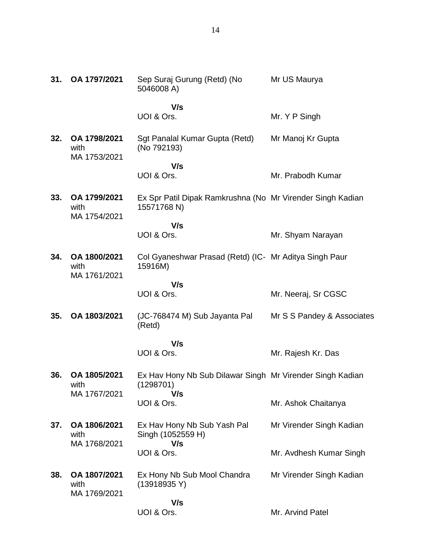| 31. | OA 1797/2021                         | Sep Suraj Gurung (Retd) (No<br>5046008 A)                                 | Mr US Maurya               |
|-----|--------------------------------------|---------------------------------------------------------------------------|----------------------------|
|     |                                      | V/s                                                                       |                            |
|     |                                      | UOI & Ors.                                                                | Mr. Y P Singh              |
| 32. | OA 1798/2021<br>with<br>MA 1753/2021 | Sgt Panalal Kumar Gupta (Retd)<br>(No 792193)                             | Mr Manoj Kr Gupta          |
|     |                                      | V/s<br>UOI & Ors.                                                         | Mr. Prabodh Kumar          |
| 33. | OA 1799/2021<br>with<br>MA 1754/2021 | Ex Spr Patil Dipak Ramkrushna (No Mr Virender Singh Kadian<br>15571768 N) |                            |
|     |                                      | V/s                                                                       |                            |
|     |                                      | UOI & Ors.                                                                | Mr. Shyam Narayan          |
| 34. | OA 1800/2021<br>with<br>MA 1761/2021 | Col Gyaneshwar Prasad (Retd) (IC- Mr Aditya Singh Paur<br>15916M)         |                            |
|     |                                      | V/s                                                                       |                            |
|     |                                      | UOI & Ors.                                                                | Mr. Neeraj, Sr CGSC        |
| 35. | OA 1803/2021                         | (JC-768474 M) Sub Jayanta Pal<br>(Retd)                                   | Mr S S Pandey & Associates |
|     |                                      | V/s                                                                       |                            |
|     |                                      | UOI & Ors.                                                                | Mr. Rajesh Kr. Das         |
| 36. | OA 1805/2021<br>with                 | Ex Hav Hony Nb Sub Dilawar Singh Mr Virender Singh Kadian<br>(1298701)    |                            |
|     | MA 1767/2021                         | V/s<br>UOI & Ors.                                                         | Mr. Ashok Chaitanya        |
| 37. | OA 1806/2021<br>with                 | Ex Hav Hony Nb Sub Yash Pal<br>Singh (1052559 H)                          | Mr Virender Singh Kadian   |
|     | MA 1768/2021                         | V/s<br>UOI & Ors.                                                         | Mr. Avdhesh Kumar Singh    |
| 38. | OA 1807/2021<br>with<br>MA 1769/2021 | Ex Hony Nb Sub Mool Chandra<br>(13918935 Y)                               | Mr Virender Singh Kadian   |
|     |                                      | V/s<br>UOI & Ors.                                                         | Mr. Arvind Patel           |